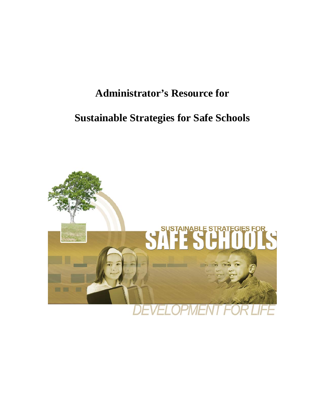# **Administrator's Resource for**

# **Sustainable Strategies for Safe Schools**

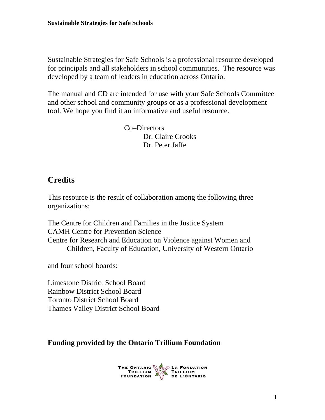Sustainable Strategies for Safe Schools is a professional resource developed for principals and all stakeholders in school communities. The resource was developed by a team of leaders in education across Ontario.

The manual and CD are intended for use with your Safe Schools Committee and other school and community groups or as a professional development tool. We hope you find it an informative and useful resource.

> Co–Directors Dr. Claire Crooks Dr. Peter Jaffe

# **Credits**

This resource is the result of collaboration among the following three organizations:

The Centre for Children and Families in the Justice System CAMH Centre for Prevention Science Centre for Research and Education on Violence against Women and Children, Faculty of Education, University of Western Ontario

and four school boards:

Limestone District School Board Rainbow District School Board Toronto District School Board Thames Valley District School Board

### **Funding provided by the Ontario Trillium Foundation**

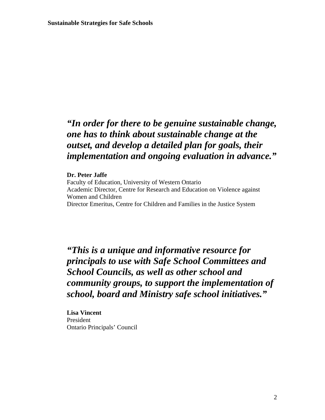# *"In order for there to be genuine sustainable change, one has to think about sustainable change at the outset, and develop a detailed plan for goals, their implementation and ongoing evaluation in advance."*

### **Dr. Peter Jaffe**

Faculty of Education, University of Western Ontario Academic Director, Centre for Research and Education on Violence against Women and Children Director Emeritus, Centre for Children and Families in the Justice System

*"This is a unique and informative resource for principals to use with Safe School Committees and School Councils, as well as other school and community groups, to support the implementation of school, board and Ministry safe school initiatives."* 

**Lisa Vincent**  President Ontario Principals' Council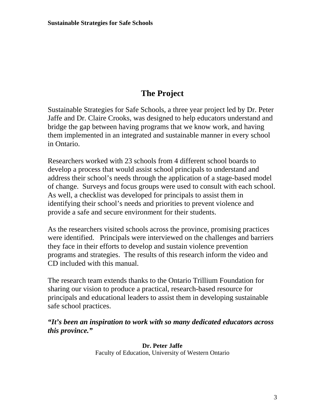# **The Project**

Sustainable Strategies for Safe Schools, a three year project led by Dr. Peter Jaffe and Dr. Claire Crooks, was designed to help educators understand and bridge the gap between having programs that we know work, and having them implemented in an integrated and sustainable manner in every school in Ontario.

Researchers worked with 23 schools from 4 different school boards to develop a process that would assist school principals to understand and address their school's needs through the application of a stage-based model of change. Surveys and focus groups were used to consult with each school. As well, a checklist was developed for principals to assist them in identifying their school's needs and priorities to prevent violence and provide a safe and secure environment for their students.

As the researchers visited schools across the province, promising practices were identified. Principals were interviewed on the challenges and barriers they face in their efforts to develop and sustain violence prevention programs and strategies. The results of this research inform the video and CD included with this manual.

The research team extends thanks to the Ontario Trillium Foundation for sharing our vision to produce a practical, research-based resource for principals and educational leaders to assist them in developing sustainable safe school practices.

*"It's been an inspiration to work with so many dedicated educators across this province."* 

> **Dr. Peter Jaffe**  Faculty of Education, University of Western Ontario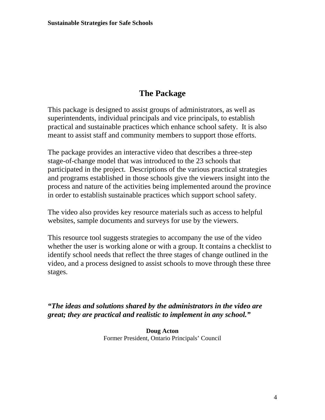# **The Package**

This package is designed to assist groups of administrators, as well as superintendents, individual principals and vice principals, to establish practical and sustainable practices which enhance school safety. It is also meant to assist staff and community members to support those efforts.

The package provides an interactive video that describes a three-step stage-of-change model that was introduced to the 23 schools that participated in the project. Descriptions of the various practical strategies and programs established in those schools give the viewers insight into the process and nature of the activities being implemented around the province in order to establish sustainable practices which support school safety.

The video also provides key resource materials such as access to helpful websites, sample documents and surveys for use by the viewers.

This resource tool suggests strategies to accompany the use of the video whether the user is working alone or with a group. It contains a checklist to identify school needs that reflect the three stages of change outlined in the video, and a process designed to assist schools to move through these three stages.

*"The ideas and solutions shared by the administrators in the video are great; they are practical and realistic to implement in any school."* 

> **Doug Acton**  Former President, Ontario Principals' Council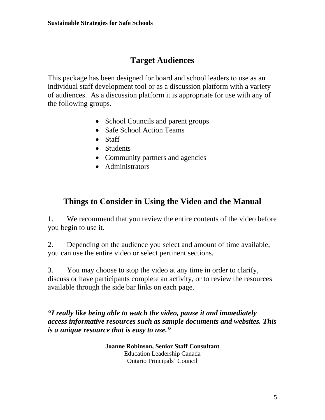# **Target Audiences**

This package has been designed for board and school leaders to use as an individual staff development tool or as a discussion platform with a variety of audiences. As a discussion platform it is appropriate for use with any of the following groups.

- School Councils and parent groups
- Safe School Action Teams
- Staff
- Students
- Community partners and agencies
- Administrators

# **Things to Consider in Using the Video and the Manual**

1. We recommend that you review the entire contents of the video before you begin to use it.

2. Depending on the audience you select and amount of time available, you can use the entire video or select pertinent sections.

3. You may choose to stop the video at any time in order to clarify, discuss or have participants complete an activity, or to review the resources available through the side bar links on each page.

*"I really like being able to watch the video, pause it and immediately access informative resources such as sample documents and websites. This is a unique resource that is easy to use."* 

> **Joanne Robinson, Senior Staff Consultant**  Education Leadership Canada Ontario Principals' Council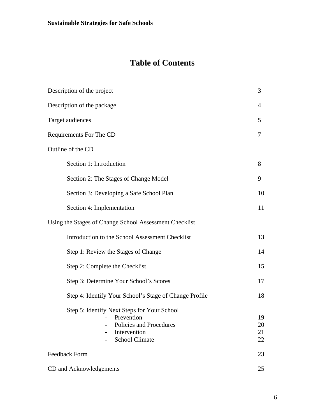# **Table of Contents**

| Description of the project                                                                                                    | 3                    |
|-------------------------------------------------------------------------------------------------------------------------------|----------------------|
| Description of the package                                                                                                    | 4                    |
| Target audiences                                                                                                              | 5                    |
| Requirements For The CD                                                                                                       | 7                    |
| Outline of the CD                                                                                                             |                      |
| Section 1: Introduction                                                                                                       | 8                    |
| Section 2: The Stages of Change Model                                                                                         | 9                    |
| Section 3: Developing a Safe School Plan                                                                                      | 10                   |
| Section 4: Implementation                                                                                                     | 11                   |
| Using the Stages of Change School Assessment Checklist                                                                        |                      |
| Introduction to the School Assessment Checklist                                                                               | 13                   |
| Step 1: Review the Stages of Change                                                                                           | 14                   |
| Step 2: Complete the Checklist                                                                                                | 15                   |
| Step 3: Determine Your School's Scores                                                                                        | 17                   |
| Step 4: Identify Your School's Stage of Change Profile                                                                        | 18                   |
| Step 5: Identify Next Steps for Your School<br>Prevention<br>Policies and Procedures<br>Intervention<br><b>School Climate</b> | 19<br>20<br>21<br>22 |
| <b>Feedback Form</b>                                                                                                          | 23                   |
| CD and Acknowledgements                                                                                                       | 25                   |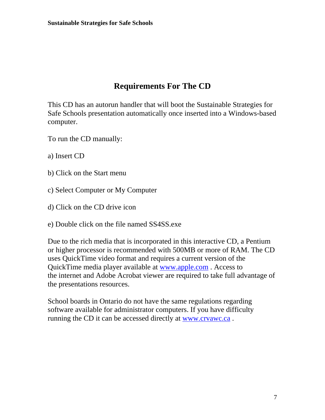# **Requirements For The CD**

This CD has an autorun handler that will boot the Sustainable Strategies for Safe Schools presentation automatically once inserted into a Windows-based computer.

- To run the CD manually:
- a) Insert CD
- b) Click on the Start menu
- c) Select Computer or My Computer
- d) Click on the CD drive icon
- e) Double click on the file named SS4SS.exe

Due to the rich media that is incorporated in this interactive CD, a Pentium or higher processor is recommended with 500MB or more of RAM. The CD uses QuickTime video format and requires a current version of the QuickTime media player available at [www.apple.com](http://www.apple.com/) . Access to the internet and Adobe Acrobat viewer are required to take full advantage of the presentations resources.

School boards in Ontario do not have the same regulations regarding software available for administrator computers. If you have difficulty running the CD it can be accessed directly at [www.crvawc.ca](http://www.crvawc.ca/) .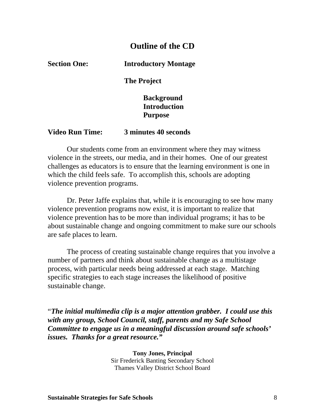**Section One: Introductory Montage** 

 **The Project** 

**Background Introduction Purpose** 

### **Video Run Time: 3 minutes 40 seconds**

 Our students come from an environment where they may witness violence in the streets, our media, and in their homes. One of our greatest challenges as educators is to ensure that the learning environment is one in which the child feels safe. To accomplish this, schools are adopting violence prevention programs.

 Dr. Peter Jaffe explains that, while it is encouraging to see how many violence prevention programs now exist, it is important to realize that violence prevention has to be more than individual programs; it has to be about sustainable change and ongoing commitment to make sure our schools are safe places to learn.

 The process of creating sustainable change requires that you involve a number of partners and think about sustainable change as a multistage process, with particular needs being addressed at each stage. Matching specific strategies to each stage increases the likelihood of positive sustainable change.

"*The initial multimedia clip is a major attention grabber. I could use this with any group, School Council, staff, parents and my Safe School Committee to engage us in a meaningful discussion around safe schools' issues. Thanks for a great resource."* 

> **Tony Jones, Principal**  Sir Frederick Banting Secondary School Thames Valley District School Board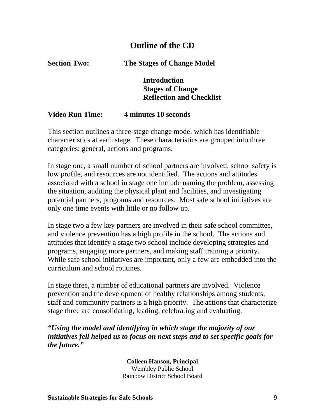| The Stages of Change Model      |
|---------------------------------|
| <b>Introduction</b>             |
| <b>Stages of Change</b>         |
| <b>Reflection and Checklist</b> |
|                                 |

### **Video Run Time: 4 minutes 10 seconds**

This section outlines a three-stage change model which has identifiable characteristics at each stage. These characteristics are grouped into three categories: general, actions and programs.

In stage one, a small number of school partners are involved, school safety is low profile, and resources are not identified. The actions and attitudes associated with a school in stage one include naming the problem, assessing the situation, auditing the physical plant and facilities, and investigating potential partners, programs and resources. Most safe school initiatives are only one time events with little or no follow up.

In stage two a few key partners are involved in their safe school committee, and violence prevention has a high profile in the school. The actions and attitudes that identify a stage two school include developing strategies and programs, engaging more partners, and making staff training a priority. While safe school initiatives are important, only a few are embedded into the curriculum and school routines.

In stage three, a number of educational partners are involved. Violence prevention and the development of healthy relationships among students, staff and community partners is a high priority. The actions that characterize stage three are consolidating, leading, celebrating and evaluating.

*"Using the model and identifying in which stage the majority of our initiatives fell helped us to focus on next steps and to set specific goals for the future."* 

> **Colleen Hanson, Principal**  Wembley Public School Rainbow District School Board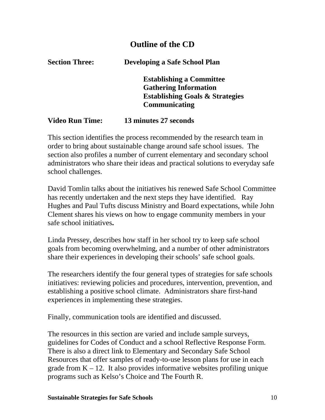| <b>Section Three:</b>  | Developing a Safe School Plan              |
|------------------------|--------------------------------------------|
|                        | <b>Establishing a Committee</b>            |
|                        | <b>Gathering Information</b>               |
|                        | <b>Establishing Goals &amp; Strategies</b> |
|                        | Communicating                              |
| <b>Video Run Time:</b> | 13 minutes 27 seconds                      |

This section identifies the process recommended by the research team in order to bring about sustainable change around safe school issues. The section also profiles a number of current elementary and secondary school administrators who share their ideas and practical solutions to everyday safe school challenges.

David Tomlin talks about the initiatives his renewed Safe School Committee has recently undertaken and the next steps they have identified. Ray Hughes and Paul Tufts discuss Ministry and Board expectations, while John Clement shares his views on how to engage community members in your safe school initiatives**.** 

Linda Pressey, describes how staff in her school try to keep safe school goals from becoming overwhelming, and a number of other administrators share their experiences in developing their schools' safe school goals.

The researchers identify the four general types of strategies for safe schools initiatives: reviewing policies and procedures, intervention, prevention, and establishing a positive school climate. Administrators share first-hand experiences in implementing these strategies.

Finally, communication tools are identified and discussed.

The resources in this section are varied and include sample surveys, guidelines for Codes of Conduct and a school Reflective Response Form. There is also a direct link to Elementary and Secondary Safe School Resources that offer samples of ready-to-use lesson plans for use in each grade from  $K - 12$ . It also provides informative websites profiling unique programs such as Kelso's Choice and The Fourth R.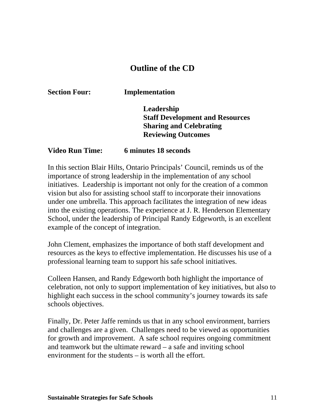**Implementation** 

 **Leadership Staff Development and Resources Sharing and Celebrating Reviewing Outcomes**

### **Video Run Time: 6 minutes 18 seconds**

In this section Blair Hilts, Ontario Principals' Council, reminds us of the importance of strong leadership in the implementation of any school initiatives. Leadership is important not only for the creation of a common vision but also for assisting school staff to incorporate their innovations under one umbrella. This approach facilitates the integration of new ideas into the existing operations. The experience at J. R. Henderson Elementary School, under the leadership of Principal Randy Edgeworth, is an excellent example of the concept of integration.

John Clement, emphasizes the importance of both staff development and resources as the keys to effective implementation. He discusses his use of a professional learning team to support his safe school initiatives.

Colleen Hansen, and Randy Edgeworth both highlight the importance of celebration, not only to support implementation of key initiatives, but also to highlight each success in the school community's journey towards its safe schools objectives.

Finally, Dr. Peter Jaffe reminds us that in any school environment, barriers and challenges are a given. Challenges need to be viewed as opportunities for growth and improvement. A safe school requires ongoing commitment and teamwork but the ultimate reward – a safe and inviting school environment for the students – is worth all the effort.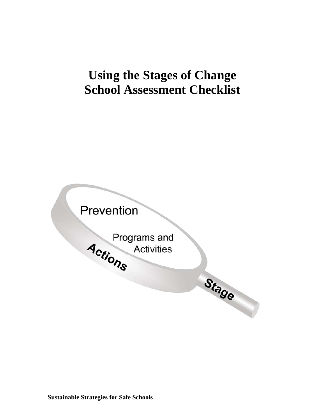# **Using the Stages of Change School Assessment Checklist**

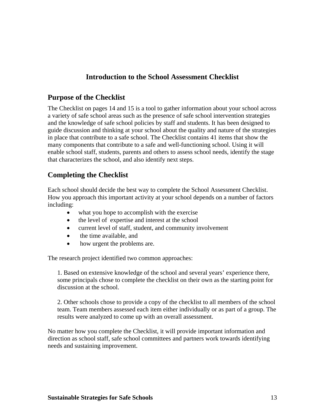### **Introduction to the School Assessment Checklist**

### **Purpose of the Checklist**

The Checklist on pages 14 and 15 is a tool to gather information about your school across a variety of safe school areas such as the presence of safe school intervention strategies and the knowledge of safe school policies by staff and students. It has been designed to guide discussion and thinking at your school about the quality and nature of the strategies in place that contribute to a safe school. The Checklist contains 41 items that show the many components that contribute to a safe and well-functioning school. Using it will enable school staff, students, parents and others to assess school needs, identify the stage that characterizes the school, and also identify next steps.

### **Completing the Checklist**

Each school should decide the best way to complete the School Assessment Checklist. How you approach this important activity at your school depends on a number of factors including:

- what you hope to accomplish with the exercise
- the level of expertise and interest at the school
- current level of staff, student, and community involvement
- the time available, and
- how urgent the problems are.

The research project identified two common approaches:

1. Based on extensive knowledge of the school and several years' experience there, some principals chose to complete the checklist on their own as the starting point for discussion at the school.

2. Other schools chose to provide a copy of the checklist to all members of the school team. Team members assessed each item either individually or as part of a group. The results were analyzed to come up with an overall assessment.

No matter how you complete the Checklist, it will provide important information and direction as school staff, safe school committees and partners work towards identifying needs and sustaining improvement.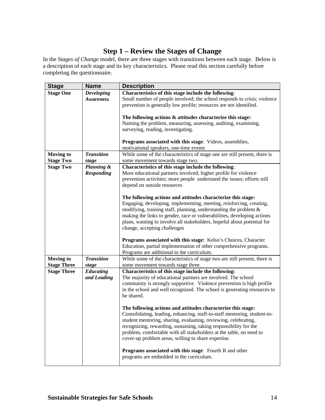### **Step 1 – Review the Stages of Change**

In the *Stages of Change* model, there are three stages with transitions between each stage. Below is a description of each stage and its key characteristics. Please read this section carefully before completing the questionnaire.

| <b>Stage</b>       | <b>Name</b>       | <b>Description</b>                                                                                                                   |
|--------------------|-------------------|--------------------------------------------------------------------------------------------------------------------------------------|
| <b>Stage One</b>   | <b>Developing</b> | Characteristics of this stage include the following:                                                                                 |
|                    | <b>Awareness</b>  | Small number of people involved; the school responds to crisis; violence                                                             |
|                    |                   | prevention is generally low profile; resources are not identified.                                                                   |
|                    |                   |                                                                                                                                      |
|                    |                   | The following actions & attitudes characterize this stage:                                                                           |
|                    |                   | Naming the problem, measuring, assessing, auditing, examining,                                                                       |
|                    |                   | surveying, reading, investigating.                                                                                                   |
|                    |                   | Programs associated with this stage: Videos, assemblies,                                                                             |
|                    |                   | motivational speakers, one-time events                                                                                               |
| <b>Moving to</b>   | <b>Transition</b> | While some of the characteristics of stage one are still present, there is                                                           |
| <b>Stage Two</b>   | stage             | some movement towards stage two.                                                                                                     |
| <b>Stage Two</b>   | Planning &        | Characteristics of this stage include the following:                                                                                 |
|                    | <b>Responding</b> | More educational partners involved; higher profile for violence                                                                      |
|                    |                   | prevention activities; more people understand the issues; efforts still                                                              |
|                    |                   | depend on outside resources                                                                                                          |
|                    |                   |                                                                                                                                      |
|                    |                   | The following actions and attitudes characterize this stage:                                                                         |
|                    |                   | Engaging, developing, implementing, meeting, reinforcing, creating,                                                                  |
|                    |                   | modifying, training staff, planning, understanding the problem $\&$                                                                  |
|                    |                   | making the links to gender, race or vulnerabilities, developing actions                                                              |
|                    |                   | plans, wanting to involve all stakeholders, hopeful about potential for                                                              |
|                    |                   | change, accepting challenges                                                                                                         |
|                    |                   | Programs associated with this stage: Kelso's Choices, Character                                                                      |
|                    |                   | Education, partial implementation of other comprehensive programs.                                                                   |
|                    |                   | Programs are additional to the curriculum.                                                                                           |
| <b>Moving to</b>   | <b>Transition</b> | While some of the characteristics of stage two are still present, there is                                                           |
| <b>Stage Three</b> | stage             | some movement towards stage three.                                                                                                   |
| <b>Stage Three</b> | Educating         | Characteristics of this stage include the following:                                                                                 |
|                    | and Leading       | The majority of educational partners are involved. The school                                                                        |
|                    |                   | community is strongly supportive. Violence prevention is high profile                                                                |
|                    |                   | in the school and well recognized. The school is generating resources to                                                             |
|                    |                   | be shared.                                                                                                                           |
|                    |                   |                                                                                                                                      |
|                    |                   | The following actions and attitudes characterize this stage:                                                                         |
|                    |                   | Consolidating, leading, enhancing, staff-to-staff mentoring, student-to-                                                             |
|                    |                   | student mentoring, sharing, evaluating, reviewing, celebrating,<br>recognizing, rewarding, sustaining, taking responsibility for the |
|                    |                   | problem, comfortable with all stakeholders at the table, no need to                                                                  |
|                    |                   | cover-up problem areas, willing to share expertise.                                                                                  |
|                    |                   |                                                                                                                                      |
|                    |                   | Programs associated with this stage: Fourth R and other                                                                              |
|                    |                   | programs are embedded in the curriculum.                                                                                             |
|                    |                   |                                                                                                                                      |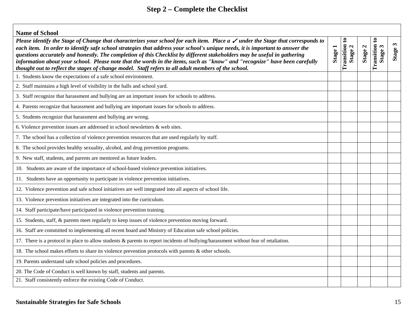| <b>Name of School</b>                                                                                                                                                                                                                                                                                                                                                                                                                                                                                                                                                                                                                        |  |  |                        |                          |                                |
|----------------------------------------------------------------------------------------------------------------------------------------------------------------------------------------------------------------------------------------------------------------------------------------------------------------------------------------------------------------------------------------------------------------------------------------------------------------------------------------------------------------------------------------------------------------------------------------------------------------------------------------------|--|--|------------------------|--------------------------|--------------------------------|
| Please identify the Stage of Change that characterizes your school for each item. Place a $\checkmark$ under the Stage that corresponds to<br>each item. In order to identify safe school strategies that address your school's unique needs, it is important to answer the<br>questions accurately and honestly. The completion of this Checklist by different stakeholders may be useful in gathering<br>information about your school. Please note that the words in the items, such as "know" and "recognize" have been carefully<br>thought out to reflect the stages of change model. Staff refers to all adult members of the school. |  |  | $\mathbf{a}$<br>Stage: | Transition to<br>Stage 3 | $\boldsymbol{\omega}$<br>Stage |
| 1. Students know the expectations of a safe school environment.                                                                                                                                                                                                                                                                                                                                                                                                                                                                                                                                                                              |  |  |                        |                          |                                |
| 2. Staff maintains a high level of visibility in the halls and school yard.                                                                                                                                                                                                                                                                                                                                                                                                                                                                                                                                                                  |  |  |                        |                          |                                |
| 3. Staff recognize that harassment and bullying are an important issues for schools to address.                                                                                                                                                                                                                                                                                                                                                                                                                                                                                                                                              |  |  |                        |                          |                                |
| 4. Parents recognize that harassment and bullying are important issues for schools to address.                                                                                                                                                                                                                                                                                                                                                                                                                                                                                                                                               |  |  |                        |                          |                                |
| 5. Students recognize that harassment and bullying are wrong.                                                                                                                                                                                                                                                                                                                                                                                                                                                                                                                                                                                |  |  |                        |                          |                                |
| 6. Violence prevention issues are addressed in school newsletters $\&$ web sites.                                                                                                                                                                                                                                                                                                                                                                                                                                                                                                                                                            |  |  |                        |                          |                                |
| 7. The school has a collection of violence prevention resources that are used regularly by staff.                                                                                                                                                                                                                                                                                                                                                                                                                                                                                                                                            |  |  |                        |                          |                                |
| 8. The school provides healthy sexuality, alcohol, and drug prevention programs.                                                                                                                                                                                                                                                                                                                                                                                                                                                                                                                                                             |  |  |                        |                          |                                |
| 9. New staff, students, and parents are mentored as future leaders.                                                                                                                                                                                                                                                                                                                                                                                                                                                                                                                                                                          |  |  |                        |                          |                                |
| 10. Students are aware of the importance of school-based violence prevention initiatives.                                                                                                                                                                                                                                                                                                                                                                                                                                                                                                                                                    |  |  |                        |                          |                                |
| 11. Students have an opportunity to participate in violence prevention initiatives.                                                                                                                                                                                                                                                                                                                                                                                                                                                                                                                                                          |  |  |                        |                          |                                |
| 12. Violence prevention and safe school initiatives are well integrated into all aspects of school life.                                                                                                                                                                                                                                                                                                                                                                                                                                                                                                                                     |  |  |                        |                          |                                |
| 13. Violence prevention initiatives are integrated into the curriculum.                                                                                                                                                                                                                                                                                                                                                                                                                                                                                                                                                                      |  |  |                        |                          |                                |
| 14. Staff participate/have participated in violence prevention training.                                                                                                                                                                                                                                                                                                                                                                                                                                                                                                                                                                     |  |  |                        |                          |                                |
| 15. Students, staff, & parents meet regularly to keep issues of violence prevention moving forward.                                                                                                                                                                                                                                                                                                                                                                                                                                                                                                                                          |  |  |                        |                          |                                |
| 16. Staff are committed to implementing all recent board and Ministry of Education safe school policies.                                                                                                                                                                                                                                                                                                                                                                                                                                                                                                                                     |  |  |                        |                          |                                |
| 17. There is a protocol in place to allow students & parents to report incidents of bullying/harassment without fear of retaliation.                                                                                                                                                                                                                                                                                                                                                                                                                                                                                                         |  |  |                        |                          |                                |
| 18. The school makes efforts to share its violence prevention protocols with parents & other schools.                                                                                                                                                                                                                                                                                                                                                                                                                                                                                                                                        |  |  |                        |                          |                                |
| 19. Parents understand safe school policies and procedures.                                                                                                                                                                                                                                                                                                                                                                                                                                                                                                                                                                                  |  |  |                        |                          |                                |
| 20. The Code of Conduct is well known by staff, students and parents.                                                                                                                                                                                                                                                                                                                                                                                                                                                                                                                                                                        |  |  |                        |                          |                                |
| 21. Staff consistently enforce the existing Code of Conduct.                                                                                                                                                                                                                                                                                                                                                                                                                                                                                                                                                                                 |  |  |                        |                          |                                |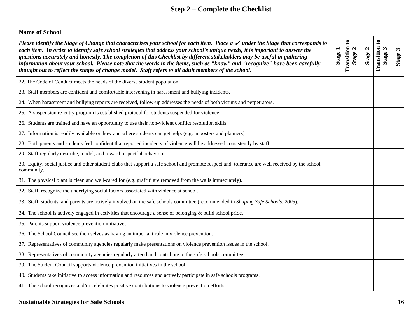# **Step 2 – Complete the Checklist**

| <b>Name of School</b>                                                                                                                                                                                                                                                                                                                                                                                                                                                                                                                                                                                                                        |         |                                       |         |                                       |                                 |
|----------------------------------------------------------------------------------------------------------------------------------------------------------------------------------------------------------------------------------------------------------------------------------------------------------------------------------------------------------------------------------------------------------------------------------------------------------------------------------------------------------------------------------------------------------------------------------------------------------------------------------------------|---------|---------------------------------------|---------|---------------------------------------|---------------------------------|
| Please identify the Stage of Change that characterizes your school for each item. Place a $\checkmark$ under the Stage that corresponds to<br>each item. In order to identify safe school strategies that address your school's unique needs, it is important to answer the<br>questions accurately and honestly. The completion of this Checklist by different stakeholders may be useful in gathering<br>information about your school. Please note that the words in the items, such as "know" and "recognize" have been carefully<br>thought out to reflect the stages of change model. Staff refers to all adult members of the school. | Stage 1 | $\mathbf{c}$<br>Transition<br>Stage 2 | Stage 2 | $\mathbf{c}$<br>Transition<br>Stage 3 | $\boldsymbol{\omega}$<br>Stage? |
| 22. The Code of Conduct meets the needs of the diverse student population.                                                                                                                                                                                                                                                                                                                                                                                                                                                                                                                                                                   |         |                                       |         |                                       |                                 |
| 23. Staff members are confident and comfortable intervening in harassment and bullying incidents.                                                                                                                                                                                                                                                                                                                                                                                                                                                                                                                                            |         |                                       |         |                                       |                                 |
| 24. When harassment and bullying reports are received, follow-up addresses the needs of both victims and perpetrators.                                                                                                                                                                                                                                                                                                                                                                                                                                                                                                                       |         |                                       |         |                                       |                                 |
| 25. A suspension re-entry program is established protocol for students suspended for violence.                                                                                                                                                                                                                                                                                                                                                                                                                                                                                                                                               |         |                                       |         |                                       |                                 |
| 26. Students are trained and have an opportunity to use their non-violent conflict resolution skills.                                                                                                                                                                                                                                                                                                                                                                                                                                                                                                                                        |         |                                       |         |                                       |                                 |
| 27. Information is readily available on how and where students can get help. (e.g. in posters and planners)                                                                                                                                                                                                                                                                                                                                                                                                                                                                                                                                  |         |                                       |         |                                       |                                 |
| 28. Both parents and students feel confident that reported incidents of violence will be addressed consistently by staff.                                                                                                                                                                                                                                                                                                                                                                                                                                                                                                                    |         |                                       |         |                                       |                                 |
| 29. Staff regularly describe, model, and reward respectful behaviour.                                                                                                                                                                                                                                                                                                                                                                                                                                                                                                                                                                        |         |                                       |         |                                       |                                 |
| 30. Equity, social justice and other student clubs that support a safe school and promote respect and tolerance are well received by the school<br>community.                                                                                                                                                                                                                                                                                                                                                                                                                                                                                |         |                                       |         |                                       |                                 |
| 31. The physical plant is clean and well-cared for (e.g. graffiti are removed from the walls immediately).                                                                                                                                                                                                                                                                                                                                                                                                                                                                                                                                   |         |                                       |         |                                       |                                 |
| 32. Staff recognize the underlying social factors associated with violence at school.                                                                                                                                                                                                                                                                                                                                                                                                                                                                                                                                                        |         |                                       |         |                                       |                                 |
| 33. Staff, students, and parents are actively involved on the safe schools committee (recommended in Shaping Safe Schools, 2005).                                                                                                                                                                                                                                                                                                                                                                                                                                                                                                            |         |                                       |         |                                       |                                 |
| 34. The school is actively engaged in activities that encourage a sense of belonging & build school pride.                                                                                                                                                                                                                                                                                                                                                                                                                                                                                                                                   |         |                                       |         |                                       |                                 |
| 35. Parents support violence prevention initiatives.                                                                                                                                                                                                                                                                                                                                                                                                                                                                                                                                                                                         |         |                                       |         |                                       |                                 |
| 36. The School Council see themselves as having an important role in violence prevention.                                                                                                                                                                                                                                                                                                                                                                                                                                                                                                                                                    |         |                                       |         |                                       |                                 |
| 37. Representatives of community agencies regularly make presentations on violence prevention issues in the school.                                                                                                                                                                                                                                                                                                                                                                                                                                                                                                                          |         |                                       |         |                                       |                                 |
| 38. Representatives of community agencies regularly attend and contribute to the safe schools committee.                                                                                                                                                                                                                                                                                                                                                                                                                                                                                                                                     |         |                                       |         |                                       |                                 |
| 39. The Student Council supports violence prevention initiatives in the school.                                                                                                                                                                                                                                                                                                                                                                                                                                                                                                                                                              |         |                                       |         |                                       |                                 |
| 40. Students take initiative to access information and resources and actively participate in safe schools programs.                                                                                                                                                                                                                                                                                                                                                                                                                                                                                                                          |         |                                       |         |                                       |                                 |
| 41. The school recognizes and/or celebrates positive contributions to violence prevention efforts.                                                                                                                                                                                                                                                                                                                                                                                                                                                                                                                                           |         |                                       |         |                                       |                                 |

# **Sustainable Strategies for Safe Schools** 16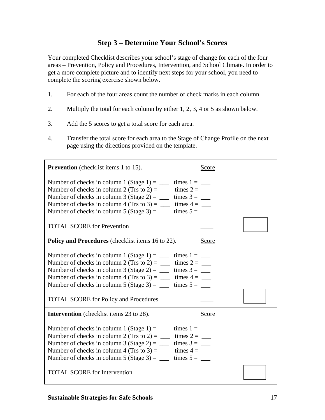### **Step 3 – Determine Your School's Scores**

Your completed Checklist describes your school's stage of change for each of the four areas – Prevention, Policy and Procedures, Intervention, and School Climate. In order to get a more complete picture and to identify next steps for your school, you need to complete the scoring exercise shown below.

- 1. For each of the four areas count the number of check marks in each column.
- 2. Multiply the total for each column by either 1, 2, 3, 4 or 5 as shown below.
- 3. Add the 5 scores to get a total score for each area.
- 4. Transfer the total score for each area to the Stage of Change Profile on the next page using the directions provided on the template.

| <b>Prevention</b> (checklist items 1 to 15).                                                                                                                                                                                                                                                                                                                                                                        | Score        |
|---------------------------------------------------------------------------------------------------------------------------------------------------------------------------------------------------------------------------------------------------------------------------------------------------------------------------------------------------------------------------------------------------------------------|--------------|
| Number of checks in column 1 (Stage 1) = $\frac{\ }{}$ times 1 = $\frac{\ }{}$<br>Number of checks in column 2 (Trs to 2) = $\frac{\ }{}$ times 2 = $\frac{\ }{}$<br>Number of checks in column 3 (Stage 2) = $\frac{\ }{2}$ times 3 = $\frac{\ }{2}$<br>Number of checks in column 4 (Trs to 3) = $\_\_$ times 4 = $\_\_$<br>Number of checks in column 5 (Stage 3) = $\_\_$ times 5 = $\_\_$                      |              |
| <b>TOTAL SCORE for Prevention</b>                                                                                                                                                                                                                                                                                                                                                                                   |              |
| Policy and Procedures (checklist items 16 to 22).                                                                                                                                                                                                                                                                                                                                                                   | Score        |
| Number of checks in column 1 (Stage 1) = $\_\_$ times 1 = $\_\_$<br>Number of checks in column 2 (Trs to 2) = $\frac{\ }{}$ times 2 = $\frac{\ }{}$<br>Number of checks in column 3 (Stage 2) = $\_\_$ times 3 = $\_\_$<br>Number of checks in column 4 (Trs to 3) = $\_\_$ times 4 = $\_\_$<br>Number of checks in column 5 (Stage 3) = $\_\_$ times 5 = $\_\_$<br><b>TOTAL SCORE for Policy and Procedures</b>    |              |
| <b>Intervention</b> (checklist items 23 to 28).                                                                                                                                                                                                                                                                                                                                                                     | <b>Score</b> |
| Number of checks in column 1 (Stage 1) = $\frac{\ }{}$ times 1 = $\frac{\ }{}$<br>Number of checks in column 2 (Trs to 2) = $\quad$ times 2 =<br>Number of checks in column 3 (Stage 2) = $\frac{\ }{2}$ times 3 = $\frac{\ }{2}$<br>Number of checks in column 4 (Trs to 3) = $\quad$ times 4 = $\quad$<br>Number of checks in column 5 (Stage 3) = $\_\_$ times 5 = $\_\_$<br><b>TOTAL SCORE for Intervention</b> |              |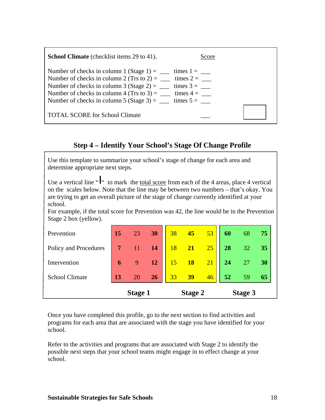| <b>School Climate</b> (checklist items 29 to 41).                                                                                                                                                                                                                            | Score                                                                   |  |
|------------------------------------------------------------------------------------------------------------------------------------------------------------------------------------------------------------------------------------------------------------------------------|-------------------------------------------------------------------------|--|
| Number of checks in column 1 (Stage 1) =<br>Number of checks in column 2 (Trs to 2) =<br>Number of checks in column 3 (Stage 2) =<br>Number of checks in column 4 (Trs to 3) = $\overline{\phantom{a}}$<br>Number of checks in column 5 (Stage 3) = $\overline{\phantom{a}}$ | times $1 =$<br>times $2 =$<br>times $3 =$<br>times $4 =$<br>times $5 =$ |  |
| <b>TOTAL SCORE for School Climate</b>                                                                                                                                                                                                                                        |                                                                         |  |

### **Step 4 – Identify Your School's Stage Of Change Profile**

Use this template to summarize your school's stage of change for each area and determine appropriate next steps.

Use a vertical line " $\left\| \cdot \right\|$ " to mark the <u>total score</u> from each of the 4 areas, place 4 vertical on the scales below. Note that the line may be between two numbers – that's okay. You are trying to get an overall picture of the stage of change currently identified at your school.

For example, if the total score for Prevention was 42, the line would be in the Prevention Stage 2 box (yellow).

| Prevention            | 15             | 23 | 30 | 38 | 45              | 53 | 60 | 68             | 75 |
|-----------------------|----------------|----|----|----|-----------------|----|----|----------------|----|
| Policy and Procedures |                | 11 | 14 | 18 | $\overline{21}$ | 25 | 28 | 32             | 35 |
| Intervention          | 6              | 9  | 12 | 15 | <b>18</b>       | 21 | 24 | 27             | 30 |
| <b>School Climate</b> | 13             | 20 | 26 | 33 | 39              | 46 | 52 | 59             | 65 |
|                       | <b>Stage 1</b> |    |    |    | <b>Stage 2</b>  |    |    | <b>Stage 3</b> |    |

Once you have completed this profile, go to the next section to find activities and programs for each area that are associated with the stage you have identified for your school.

Refer to the activities and programs that are associated with Stage 2 to identify the possible next steps that your school teams might engage in to effect change at your school.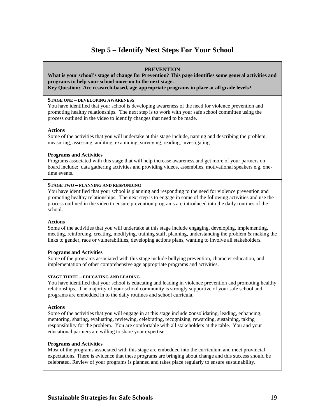### **Step 5 – Identify Next Steps For Your School**

#### **PREVENTION**

**What is your school's stage of change for Prevention? This page identifies some general activities and programs to help your school move on to the next stage.** 

**Key Question: Are research-based, age appropriate programs in place at all grade levels?** 

#### **STAGE ONE – DEVELOPING AWARENESS**

You have identified that your school is developing awareness of the need for violence prevention and promoting healthy relationships. The next step is to work with your safe school committee using the process outlined in the video to identify changes that need to be made.

#### **Actions**

Some of the activities that you will undertake at this stage include, naming and describing the problem, measuring, assessing, auditing, examining, surveying, reading, investigating.

#### **Programs and Activities**

Programs associated with this stage that will help increase awareness and get more of your partners on board include: data gathering activities and providing videos, assemblies, motivational speakers e.g. onetime events.

#### **STAGE TWO – PLANNING AND RESPONDING**

You have identified that your school is planning and responding to the need for violence prevention and promoting healthy relationships. The next step is to engage in some of the following activities and use the process outlined in the video to ensure prevention programs are introduced into the daily routines of the school.

#### **Actions**

Some of the activities that you will undertake at this stage include engaging, developing, implementing, meeting, reinforcing, creating, modifying, training staff, planning, understanding the problem & making the links to gender, race or vulnerabilities, developing actions plans, wanting to involve all stakeholders.

#### **Programs and Activities**

Some of the programs associated with this stage include bullying prevention, character education, and implementation of other comprehensive age appropriate programs and activities.

#### **STAGE THREE – EDUCATING AND LEADING**

You have identified that your school is educating and leading in violence prevention and promoting healthy relationships. The majority of your school community is strongly supportive of your safe school and programs are embedded in to the daily routines and school curricula.

#### **Actions**

Some of the activities that you will engage in at this stage include consolidating, leading, enhancing, mentoring, sharing, evaluating, reviewing, celebrating, recognizing, rewarding, sustaining, taking responsibility for the problem. You are comfortable with all stakeholders at the table. You and your educational partners are willing to share your expertise.

#### **Programs and Activities**

Most of the programs associated with this stage are embedded into the curriculum and meet provincial expectations. There is evidence that these programs are bringing about change and this success should be celebrated. Review of your programs is planned and takes place regularly to ensure sustainability.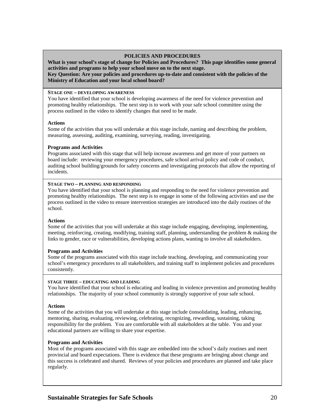#### **POLICIES AND PROCEDURES**

**What is your school's stage of change for Policies and Procedures? This page identifies some general activities and programs to help your school move on to the next stage. Key Question: Are your policies and procedures up-to-date and consistent with the policies of the Ministry of Education and your local school board?** 

#### **STAGE ONE – DEVELOPING AWARENESS**

You have identified that your school is developing awareness of the need for violence prevention and promoting healthy relationships. The next step is to work with your safe school committee using the process outlined in the video to identify changes that need to be made.

#### **Actions**

Some of the activities that you will undertake at this stage include, naming and describing the problem, measuring, assessing, auditing, examining, surveying, reading, investigating.

#### **Programs and Activities**

Programs associated with this stage that will help increase awareness and get more of your partners on board include: reviewing your emergency procedures, safe school arrival policy and code of conduct, auditing school building/grounds for safety concerns and investigating protocols that allow the reporting of incidents.

#### **STAGE TWO – PLANNING AND RESPONDING**

You have identified that your school is planning and responding to the need for violence prevention and promoting healthy relationships. The next step is to engage in some of the following activities and use the process outlined in the video to ensure intervention strategies are introduced into the daily routines of the school.

#### **Actions**

Some of the activities that you will undertake at this stage include engaging, developing, implementing, meeting, reinforcing, creating, modifying, training staff, planning, understanding the problem & making the links to gender, race or vulnerabilities, developing actions plans, wanting to involve all stakeholders.

#### **Programs and Activities**

Some of the programs associated with this stage include teaching, developing, and communicating your school's emergency procedures to all stakeholders, and training staff to implement policies and procedures consistently.

#### **STAGE THREE – EDUCATING AND LEADING**

You have identified that your school is educating and leading in violence prevention and promoting healthy relationships. The majority of your school community is strongly supportive of your safe school.

#### **Actions**

Some of the activities that you will undertake at this stage include consolidating, leading, enhancing, mentoring, sharing, evaluating, reviewing, celebrating, recognizing, rewarding, sustaining, taking responsibility for the problem. You are comfortable with all stakeholders at the table. You and your educational partners are willing to share your expertise.

#### **Programs and Activities**

Most of the programs associated with this stage are embedded into the school's daily routines and meet provincial and board expectations. There is evidence that these programs are bringing about change and this success is celebrated and shared. Reviews of your policies and procedures are planned and take place regularly.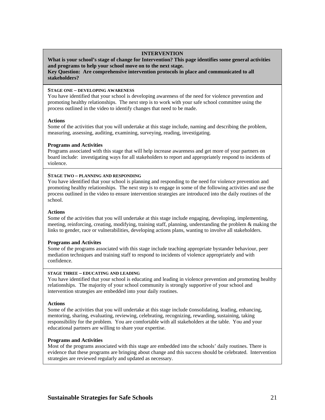#### **INTERVENTION**

**What is your school's stage of change for Intervention? This page identifies some general activities and programs to help your school move on to the next stage.** 

**Key Question: Are comprehensive intervention protocols in place and communicated to all stakeholders?** 

#### **STAGE ONE – DEVELOPING AWARENESS**

You have identified that your school is developing awareness of the need for violence prevention and promoting healthy relationships. The next step is to work with your safe school committee using the process outlined in the video to identify changes that need to be made.

#### **Actions**

Some of the activities that you will undertake at this stage include, naming and describing the problem, measuring, assessing, auditing, examining, surveying, reading, investigating.

#### **Programs and Activities**

Programs associated with this stage that will help increase awareness and get more of your partners on board include: investigating ways for all stakeholders to report and appropriately respond to incidents of violence.

#### **STAGE TWO – PLANNING AND RESPONDING**

You have identified that your school is planning and responding to the need for violence prevention and promoting healthy relationships. The next step is to engage in some of the following activities and use the process outlined in the video to ensure intervention strategies are introduced into the daily routines of the school.

#### **Actions**

Some of the activities that you will undertake at this stage include engaging, developing, implementing, meeting, reinforcing, creating, modifying, training staff, planning, understanding the problem & making the links to gender, race or vulnerabilities, developing actions plans, wanting to involve all stakeholders.

#### **Programs and Activites**

Some of the programs associated with this stage include teaching appropriate bystander behaviour, peer mediation techniques and training staff to respond to incidents of violence appropriately and with confidence.

#### **STAGE THREE – EDUCATING AND LEADING**

You have identified that your school is educating and leading in violence prevention and promoting healthy relationships. The majority of your school community is strongly supportive of your school and intervention strategies are embedded into your daily routines.

#### **Actions**

Some of the activities that you will undertake at this stage include consolidating, leading, enhancing, mentoring, sharing, evaluating, reviewing, celebrating, recognizing, rewarding, sustaining, taking responsibility for the problem. You are comfortable with all stakeholders at the table. You and your educational partners are willing to share your expertise.

#### **Programs and Activities**

Most of the programs associated with this stage are embedded into the schools' daily routines. There is evidence that these programs are bringing about change and this success should be celebrated. Intervention strategies are reviewed regularly and updated as necessary.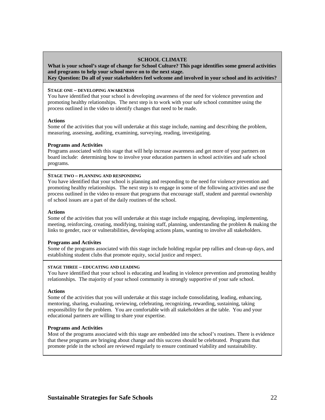#### **SCHOOL CLIMATE**

**What is your school's stage of change for School Culture? This page identifies some general activities and programs to help your school move on to the next stage.** 

**Key Question: Do all of your stakeholders feel welcome and involved in your school and its activities?** 

#### **STAGE ONE – DEVELOPING AWARENESS**

You have identified that your school is developing awareness of the need for violence prevention and promoting healthy relationships. The next step is to work with your safe school committee using the process outlined in the video to identify changes that need to be made.

#### **Actions**

Some of the activities that you will undertake at this stage include, naming and describing the problem, measuring, assessing, auditing, examining, surveying, reading, investigating.

#### **Programs and Activities**

Programs associated with this stage that will help increase awareness and get more of your partners on board include: determining how to involve your education partners in school activities and safe school programs.

#### **STAGE TWO – PLANNING AND RESPONDING**

You have identified that your school is planning and responding to the need for violence prevention and promoting healthy relationships. The next step is to engage in some of the following activities and use the process outlined in the video to ensure that programs that encourage staff, student and parental ownership of school issues are a part of the daily routines of the school.

#### **Actions**

Some of the activities that you will undertake at this stage include engaging, developing, implementing, meeting, reinforcing, creating, modifying, training staff, planning, understanding the problem & making the links to gender, race or vulnerabilities, developing actions plans, wanting to involve all stakeholders.

#### **Programs and Activites**

Some of the programs associated with this stage include holding regular pep rallies and clean-up days, and establishing student clubs that promote equity, social justice and respect.

#### **STAGE THREE – EDUCATING AND LEADING**

You have identified that your school is educating and leading in violence prevention and promoting healthy relationships. The majority of your school community is strongly supportive of your safe school.

#### **Actions**

Some of the activities that you will undertake at this stage include consolidating, leading, enhancing, mentoring, sharing, evaluating, reviewing, celebrating, recognizing, rewarding, sustaining, taking responsibility for the problem. You are comfortable with all stakeholders at the table. You and your educational partners are willing to share your expertise.

#### **Programs and Activities**

Most of the programs associated with this stage are embedded into the school's routines. There is evidence that these programs are bringing about change and this success should be celebrated. Programs that promote pride in the school are reviewed regularly to ensure continued viability and sustainability.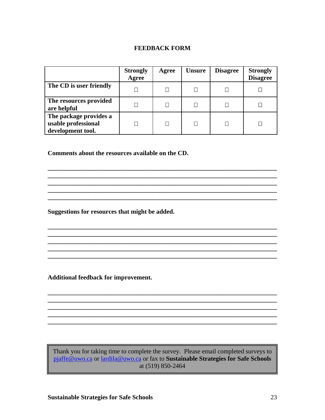#### **FEEDBACK FORM**

|                                                                    | <b>Strongly</b><br>Agree | Agree | <b>Unsure</b> | <b>Disagree</b> | <b>Strongly</b><br><b>Disagree</b> |
|--------------------------------------------------------------------|--------------------------|-------|---------------|-----------------|------------------------------------|
| The CD is user friendly                                            |                          |       |               |                 |                                    |
| The resources provided<br>are helpful                              |                          |       |               |                 |                                    |
| The package provides a<br>usable professional<br>development tool. |                          |       | Γ             |                 |                                    |

Comments about the resources available on the CD.

Suggestions for resources that might be added.

**Additional feedback for improvement.** 

Thank you for taking time to complete the survey. Please email completed surveys to pjaffe@uwo.ca or lardila@uwo.ca or fax to Sustainable Strategies for Safe Schools at (519) 850-2464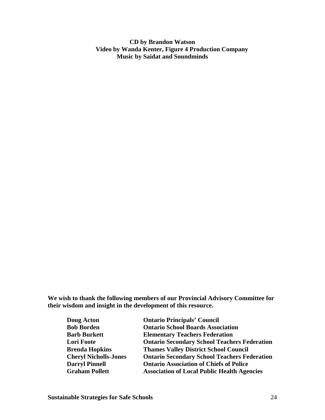**CD by Brandon Watson Video by Wanda Kenter, Figure 4 Production Company Music by Saidat and Soundminds** 

**We wish to thank the following members of our Provincial Advisory Committee for their wisdom and insight in the development of this resource.** 

| Doug Acton                   | <b>Ontario Principals' Council</b>                  |
|------------------------------|-----------------------------------------------------|
| <b>Bob Borden</b>            | <b>Ontario School Boards Association</b>            |
| <b>Barb Burkett</b>          | <b>Elementary Teachers Federation</b>               |
| <b>Lori Foote</b>            | <b>Ontario Secondary School Teachers Federation</b> |
| <b>Brenda Hopkins</b>        | <b>Thames Valley District School Council</b>        |
| <b>Cheryl Nicholls-Jones</b> | <b>Ontario Secondary School Teachers Federation</b> |
| <b>Darryl Pinnell</b>        | <b>Ontario Association of Chiefs of Police</b>      |
| <b>Graham Pollett</b>        | <b>Association of Local Public Health Agencies</b>  |